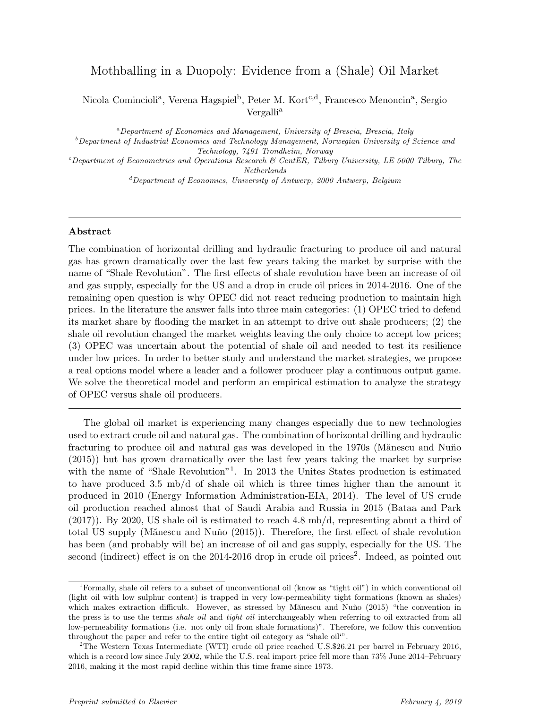## Mothballing in a Duopoly: Evidence from a (Shale) Oil Market

Nicola Comincioli<sup>a</sup>, Verena Hagspiel<sup>b</sup>, Peter M. Kort<sup>c,d</sup>, Francesco Menoncin<sup>a</sup>, Sergio Vergalli<sup>a</sup>

<sup>a</sup>Department of Economics and Management, University of Brescia, Brescia, Italy

 $b$ Department of Industrial Economics and Technology Management, Norwegian University of Science and Technology, 7491 Trondheim, Norway

 $c$ Department of Econometrics and Operations Research & CentER, Tilburg University, LE 5000 Tilburg, The Netherlands

 ${}^d$ Department of Economics, University of Antwerp, 2000 Antwerp, Belgium

## Abstract

The combination of horizontal drilling and hydraulic fracturing to produce oil and natural gas has grown dramatically over the last few years taking the market by surprise with the name of "Shale Revolution". The first effects of shale revolution have been an increase of oil and gas supply, especially for the US and a drop in crude oil prices in 2014-2016. One of the remaining open question is why OPEC did not react reducing production to maintain high prices. In the literature the answer falls into three main categories: (1) OPEC tried to defend its market share by flooding the market in an attempt to drive out shale producers; (2) the shale oil revolution changed the market weights leaving the only choice to accept low prices; (3) OPEC was uncertain about the potential of shale oil and needed to test its resilience under low prices. In order to better study and understand the market strategies, we propose a real options model where a leader and a follower producer play a continuous output game. We solve the theoretical model and perform an empirical estimation to analyze the strategy of OPEC versus shale oil producers.

The global oil market is experiencing many changes especially due to new technologies used to extract crude oil and natural gas. The combination of horizontal drilling and hydraulic fracturing to produce oil and natural gas was developed in the 1970s (Mănescu and Nuňo (2015)) but has grown dramatically over the last few years taking the market by surprise with the name of "Shale Revolution"<sup>1</sup>. In 2013 the Unites States production is estimated to have produced 3.5 mb/d of shale oil which is three times higher than the amount it produced in 2010 (Energy Information Administration-EIA, 2014). The level of US crude oil production reached almost that of Saudi Arabia and Russia in 2015 (Bataa and Park  $(2017)$ ). By 2020, US shale oil is estimated to reach 4.8 mb/d, representing about a third of total US supply (Mănescu and Nuňo (2015)). Therefore, the first effect of shale revolution has been (and probably will be) an increase of oil and gas supply, especially for the US. The second (indirect) effect is on the 2014-2016 drop in crude oil prices<sup>2</sup>. Indeed, as pointed out

<sup>1</sup>Formally, shale oil refers to a subset of unconventional oil (know as "tight oil") in which conventional oil (light oil with low sulphur content) is trapped in very low-permeability tight formations (known as shales) which makes extraction difficult. However, as stressed by Mănescu and Nuño (2015) "the convention in the press is to use the terms *shale oil* and *tight oil* interchangeably when referring to oil extracted from all low-permeability formations (i.e. not only oil from shale formations)". Therefore, we follow this convention throughout the paper and refer to the entire tight oil category as "shale oil'".

<sup>&</sup>lt;sup>2</sup>The Western Texas Intermediate (WTI) crude oil price reached U.S.\$26.21 per barrel in February 2016, which is a record low since July 2002, while the U.S. real import price fell more than  $73\%$  June 2014–February 2016, making it the most rapid decline within this time frame since 1973.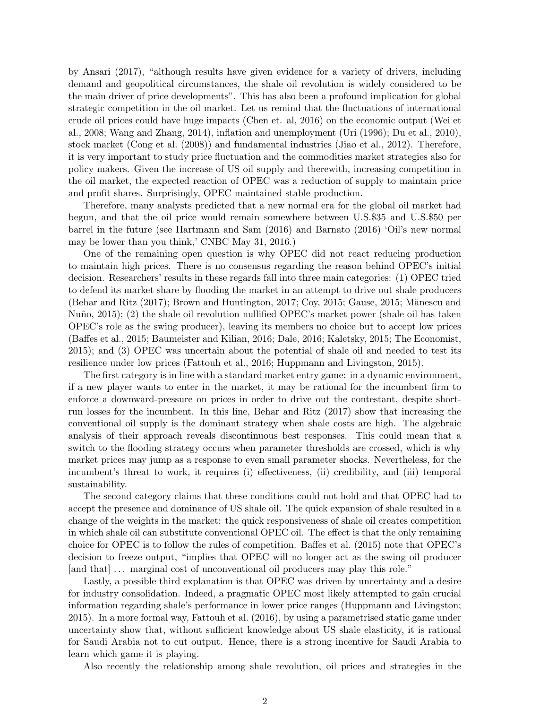by Ansari (2017), "although results have given evidence for a variety of drivers, including demand and geopolitical circumstances, the shale oil revolution is widely considered to be the main driver of price developments". This has also been a profound implication for global strategic competition in the oil market. Let us remind that the fluctuations of international crude oil prices could have huge impacts (Chen et. al, 2016) on the economic output (Wei et al., 2008; Wang and Zhang, 2014), inflation and unemployment (Uri (1996); Du et al., 2010), stock market (Cong et al. (2008)) and fundamental industries (Jiao et al., 2012). Therefore, it is very important to study price fluctuation and the commodities market strategies also for policy makers. Given the increase of US oil supply and therewith, increasing competition in the oil market, the expected reaction of OPEC was a reduction of supply to maintain price and profit shares. Surprisingly, OPEC maintained stable production.

Therefore, many analysts predicted that a new normal era for the global oil market had begun, and that the oil price would remain somewhere between U.S.\$35 and U.S.\$50 per barrel in the future (see Hartmann and Sam (2016) and Barnato (2016) 'Oil's new normal may be lower than you think,' CNBC May 31, 2016.)

One of the remaining open question is why OPEC did not react reducing production to maintain high prices. There is no consensus regarding the reason behind OPEC's initial decision. Researchers' results in these regards fall into three main categories: (1) OPEC tried to defend its market share by flooding the market in an attempt to drive out shale producers (Behar and Ritz  $(2017)$ ; Brown and Huntington, 2017; Coy, 2015; Gause, 2015; Mănescu and Nuño, 2015); (2) the shale oil revolution nullified OPEC's market power (shale oil has taken OPEC's role as the swing producer), leaving its members no choice but to accept low prices (Baffes et al., 2015; Baumeister and Kilian, 2016; Dale, 2016; Kaletsky, 2015; The Economist, 2015); and (3) OPEC was uncertain about the potential of shale oil and needed to test its resilience under low prices (Fattouh et al., 2016; Huppmann and Livingston, 2015).

The first category is in line with a standard market entry game: in a dynamic environment, if a new player wants to enter in the market, it may be rational for the incumbent firm to enforce a downward-pressure on prices in order to drive out the contestant, despite shortrun losses for the incumbent. In this line, Behar and Ritz (2017) show that increasing the conventional oil supply is the dominant strategy when shale costs are high. The algebraic analysis of their approach reveals discontinuous best responses. This could mean that a switch to the flooding strategy occurs when parameter thresholds are crossed, which is why market prices may jump as a response to even small parameter shocks. Nevertheless, for the incumbent's threat to work, it requires (i) effectiveness, (ii) credibility, and (iii) temporal sustainability.

The second category claims that these conditions could not hold and that OPEC had to accept the presence and dominance of US shale oil. The quick expansion of shale resulted in a change of the weights in the market: the quick responsiveness of shale oil creates competition in which shale oil can substitute conventional OPEC oil. The effect is that the only remaining choice for OPEC is to follow the rules of competition. Baffes et al. (2015) note that OPEC's decision to freeze output, "implies that OPEC will no longer act as the swing oil producer [and that] ... marginal cost of unconventional oil producers may play this role."

Lastly, a possible third explanation is that OPEC was driven by uncertainty and a desire for industry consolidation. Indeed, a pragmatic OPEC most likely attempted to gain crucial information regarding shale's performance in lower price ranges (Huppmann and Livingston; 2015). In a more formal way, Fattouh et al. (2016), by using a parametrised static game under uncertainty show that, without sufficient knowledge about US shale elasticity, it is rational for Saudi Arabia not to cut output. Hence, there is a strong incentive for Saudi Arabia to learn which game it is playing.

Also recently the relationship among shale revolution, oil prices and strategies in the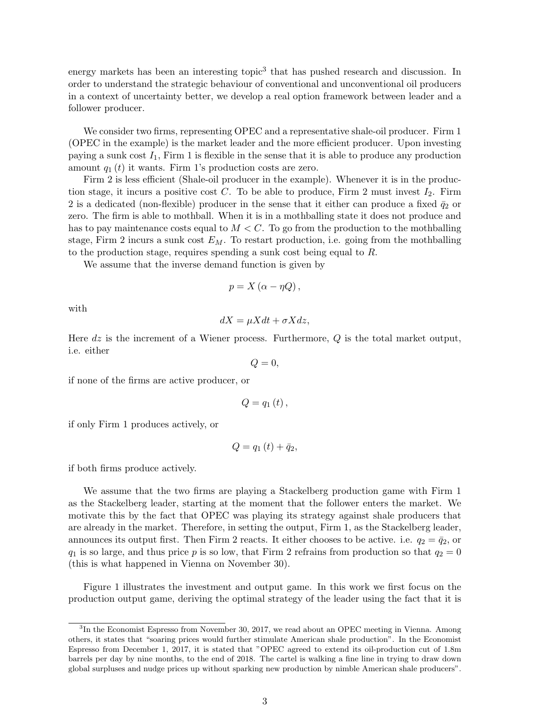energy markets has been an interesting topic<sup>3</sup> that has pushed research and discussion. In order to understand the strategic behaviour of conventional and unconventional oil producers in a context of uncertainty better, we develop a real option framework between leader and a follower producer.

We consider two firms, representing OPEC and a representative shale-oil producer. Firm 1 (OPEC in the example) is the market leader and the more efficient producer. Upon investing paying a sunk cost  $I_1$ , Firm 1 is flexible in the sense that it is able to produce any production amount  $q_1(t)$  it wants. Firm 1's production costs are zero.

Firm 2 is less efficient (Shale-oil producer in the example). Whenever it is in the production stage, it incurs a positive cost  $C$ . To be able to produce, Firm 2 must invest  $I_2$ . Firm 2 is a dedicated (non-flexible) producer in the sense that it either can produce a fixed  $\bar{q}_2$  or zero. The firm is able to mothball. When it is in a mothballing state it does not produce and has to pay maintenance costs equal to  $M < C$ . To go from the production to the mothballing stage, Firm 2 incurs a sunk cost  $E_M$ . To restart production, i.e. going from the mothballing to the production stage, requires spending a sunk cost being equal to R.

We assume that the inverse demand function is given by

$$
p = X(\alpha - \eta Q),
$$

with

$$
dX = \mu X dt + \sigma X dz,
$$

Here  $dz$  is the increment of a Wiener process. Furthermore,  $Q$  is the total market output, i.e. either

 $Q=0,$ 

if none of the firms are active producer, or

$$
Q=q_{1}\left( t\right) ,
$$

if only Firm 1 produces actively, or

$$
Q=q_1(t)+\bar{q}_2,
$$

if both firms produce actively.

We assume that the two firms are playing a Stackelberg production game with Firm 1 as the Stackelberg leader, starting at the moment that the follower enters the market. We motivate this by the fact that OPEC was playing its strategy against shale producers that are already in the market. Therefore, in setting the output, Firm 1, as the Stackelberg leader, announces its output first. Then Firm 2 reacts. It either chooses to be active. i.e.  $q_2 = \bar{q}_2$ , or  $q_1$  is so large, and thus price p is so low, that Firm 2 refrains from production so that  $q_2 = 0$ (this is what happened in Vienna on November 30).

Figure 1 illustrates the investment and output game. In this work we first focus on the production output game, deriving the optimal strategy of the leader using the fact that it is

<sup>&</sup>lt;sup>3</sup>In the Economist Espresso from November 30, 2017, we read about an OPEC meeting in Vienna. Among others, it states that "soaring prices would further stimulate American shale production". In the Economist Espresso from December 1, 2017, it is stated that "OPEC agreed to extend its oil-production cut of 1.8m barrels per day by nine months, to the end of 2018. The cartel is walking a fine line in trying to draw down global surpluses and nudge prices up without sparking new production by nimble American shale producers".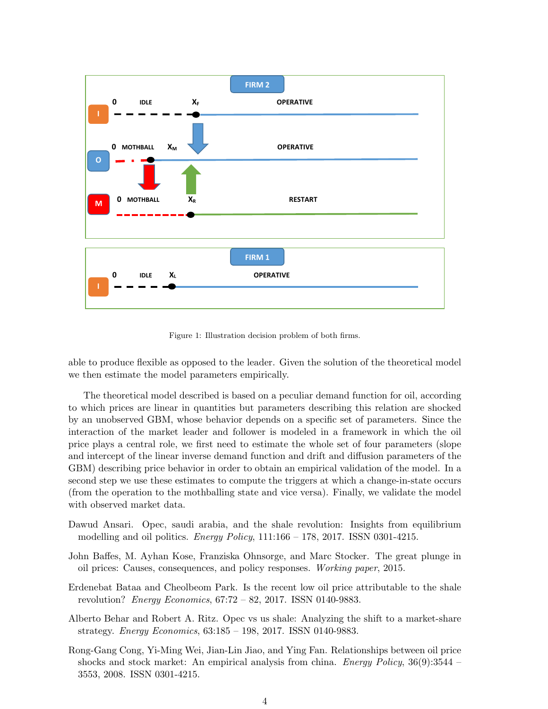

Figure 1: Illustration decision problem of both firms.

able to produce flexible as opposed to the leader. Given the solution of the theoretical model we then estimate the model parameters empirically.

The theoretical model described is based on a peculiar demand function for oil, according to which prices are linear in quantities but parameters describing this relation are shocked by an unobserved GBM, whose behavior depends on a specific set of parameters. Since the interaction of the market leader and follower is modeled in a framework in which the oil price plays a central role, we first need to estimate the whole set of four parameters (slope and intercept of the linear inverse demand function and drift and diffusion parameters of the GBM) describing price behavior in order to obtain an empirical validation of the model. In a second step we use these estimates to compute the triggers at which a change-in-state occurs (from the operation to the mothballing state and vice versa). Finally, we validate the model with observed market data.

- Dawud Ansari. Opec, saudi arabia, and the shale revolution: Insights from equilibrium modelling and oil politics. *Energy Policy*,  $111:166 - 178$ ,  $2017$ . ISSN 0301-4215.
- John Baffes, M. Ayhan Kose, Franziska Ohnsorge, and Marc Stocker. The great plunge in oil prices: Causes, consequences, and policy responses. Working paper, 2015.
- Erdenebat Bataa and Cheolbeom Park. Is the recent low oil price attributable to the shale revolution? Energy Economics, 67:72 – 82, 2017. ISSN 0140-9883.
- Alberto Behar and Robert A. Ritz. Opec vs us shale: Analyzing the shift to a market-share strategy. Energy Economics, 63:185 – 198, 2017. ISSN 0140-9883.
- Rong-Gang Cong, Yi-Ming Wei, Jian-Lin Jiao, and Ying Fan. Relationships between oil price shocks and stock market: An empirical analysis from china. Energy Policy,  $36(9)$ :  $3544$  – 3553, 2008. ISSN 0301-4215.